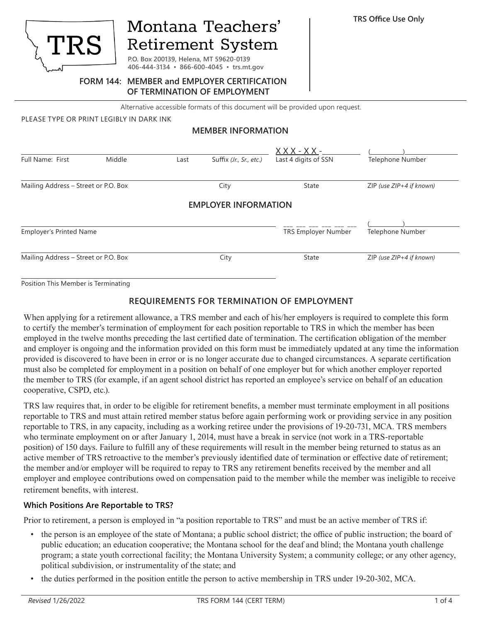

# Montana Teachers' **Retirement System**

**P.O. Box 200139, Helena, MT 59620-0139 406-444-3134 ▪ 866-600-4045 ▪ trs.mt.gov**

#### **FORM 144: MEMBER and EMPLOYER CERTIFICATION OF TERMINATION OF EMPLOYMENT**

Alternative accessible formats of this document will be provided upon request.

PLEASE TYPE OR PRINT LEGIBLY IN DARK INK

#### **MEMBER INFORMATION**

| Full Name: First                     | Middle | Last | Suffix (Jr., Sr., etc.)     | <u> X X X - X X -</u><br>Last 4 digits of SSN | Telephone Number             |
|--------------------------------------|--------|------|-----------------------------|-----------------------------------------------|------------------------------|
| Mailing Address - Street or P.O. Box |        |      | City                        | State                                         | $ZIP$ (use $ZIP+4$ if known) |
|                                      |        |      | <b>EMPLOYER INFORMATION</b> |                                               |                              |
| <b>Employer's Printed Name</b>       |        |      |                             | <b>TRS Employer Number</b>                    | Telephone Number             |
| Mailing Address - Street or P.O. Box |        |      | City                        | State                                         | $ZIP$ (use $ZIP+4$ if known) |

Position This Member is Terminating

#### **REQUIREMENTS FOR TERMINATION OF EMPLOYMENT**

When applying for a retirement allowance, a TRS member and each of his/her employers is required to complete this form to certify the member's termination of employment for each position reportable to TRS in which the member has been employed in the twelve months preceding the last certified date of termination. The certification obligation of the member and employer is ongoing and the information provided on this form must be immediately updated at any time the information provided is discovered to have been in error or is no longer accurate due to changed circumstances. A separate certification must also be completed for employment in a position on behalf of one employer but for which another employer reported the member to TRS (for example, if an agent school district has reported an employee's service on behalf of an education cooperative, CSPD, etc.).

TRS law requires that, in order to be eligible for retirement benefits, a member must terminate employment in all positions reportable to TRS and must attain retired member status before again performing work or providing service in any position reportable to TRS, in any capacity, including as a working retiree under the provisions of 19-20-731, MCA. TRS members who terminate employment on or after January 1, 2014, must have a break in service (not work in a TRS-reportable position) of 150 days. Failure to fulfill any of these requirements will result in the member being returned to status as an active member of TRS retroactive to the member's previously identified date of termination or effective date of retirement; the member and/or employer will be required to repay to TRS any retirement benefits received by the member and all employer and employee contributions owed on compensation paid to the member while the member was ineligible to receive retirement benefits, with interest.

#### **Which Positions Are Reportable to TRS?**

Prior to retirement, a person is employed in "a position reportable to TRS" and must be an active member of TRS if:

- the person is an employee of the state of Montana; a public school district; the office of public instruction; the board of public education; an education cooperative; the Montana school for the deaf and blind; the Montana youth challenge program; a state youth correctional facility; the Montana University System; a community college; or any other agency, political subdivision, or instrumentality of the state; and
- the duties performed in the position entitle the person to active membership in TRS under 19-20-302, MCA.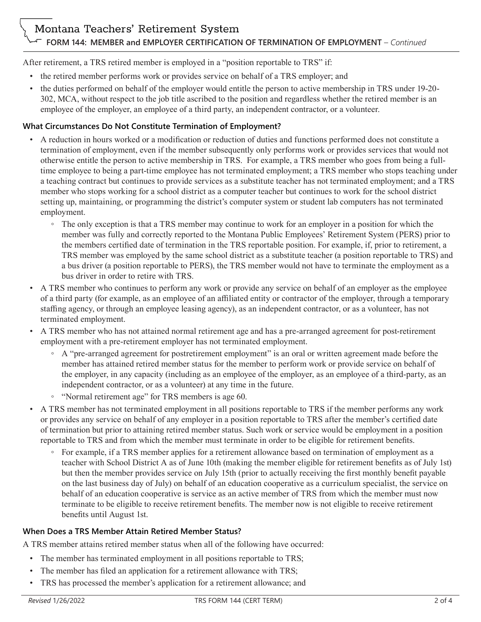After retirement, a TRS retired member is employed in a "position reportable to TRS" if:

- the retired member performs work or provides service on behalf of a TRS employer; and
- the duties performed on behalf of the employer would entitle the person to active membership in TRS under 19-20- 302, MCA, without respect to the job title ascribed to the position and regardless whether the retired member is an employee of the employer, an employee of a third party, an independent contractor, or a volunteer.

## **What Circumstances Do Not Constitute Termination of Employment?**

- A reduction in hours worked or a modification or reduction of duties and functions performed does not constitute a termination of employment, even if the member subsequently only performs work or provides services that would not otherwise entitle the person to active membership in TRS. For example, a TRS member who goes from being a fulltime employee to being a part-time employee has not terminated employment; a TRS member who stops teaching under a teaching contract but continues to provide services as a substitute teacher has not terminated employment; and a TRS member who stops working for a school district as a computer teacher but continues to work for the school district setting up, maintaining, or programming the district's computer system or student lab computers has not terminated employment.
	- The only exception is that a TRS member may continue to work for an employer in a position for which the member was fully and correctly reported to the Montana Public Employees' Retirement System (PERS) prior to the members certified date of termination in the TRS reportable position. For example, if, prior to retirement, a TRS member was employed by the same school district as a substitute teacher (a position reportable to TRS) and a bus driver (a position reportable to PERS), the TRS member would not have to terminate the employment as a bus driver in order to retire with TRS.
- A TRS member who continues to perform any work or provide any service on behalf of an employer as the employee of a third party (for example, as an employee of an affiliated entity or contractor of the employer, through a temporary staffing agency, or through an employee leasing agency), as an independent contractor, or as a volunteer, has not terminated employment.
- A TRS member who has not attained normal retirement age and has a pre-arranged agreement for post-retirement employment with a pre-retirement employer has not terminated employment.
	- A "pre-arranged agreement for postretirement employment" is an oral or written agreement made before the member has attained retired member status for the member to perform work or provide service on behalf of the employer, in any capacity (including as an employee of the employer, as an employee of a third-party, as an independent contractor, or as a volunteer) at any time in the future.
	- "Normal retirement age" for TRS members is age 60.
- A TRS member has not terminated employment in all positions reportable to TRS if the member performs any work or provides any service on behalf of any employer in a position reportable to TRS after the member's certified date of termination but prior to attaining retired member status. Such work or service would be employment in a position reportable to TRS and from which the member must terminate in order to be eligible for retirement benefits.
	- For example, if a TRS member applies for a retirement allowance based on termination of employment as a teacher with School District A as of June 10th (making the member eligible for retirement benefits as of July 1st) but then the member provides service on July 15th (prior to actually receiving the first monthly benefit payable on the last business day of July) on behalf of an education cooperative as a curriculum specialist, the service on behalf of an education cooperative is service as an active member of TRS from which the member must now terminate to be eligible to receive retirement benefits. The member now is not eligible to receive retirement benefits until August 1st.

# **When Does a TRS Member Attain Retired Member Status?**

A TRS member attains retired member status when all of the following have occurred:

- The member has terminated employment in all positions reportable to TRS;
- The member has filed an application for a retirement allowance with TRS;
- TRS has processed the member's application for a retirement allowance; and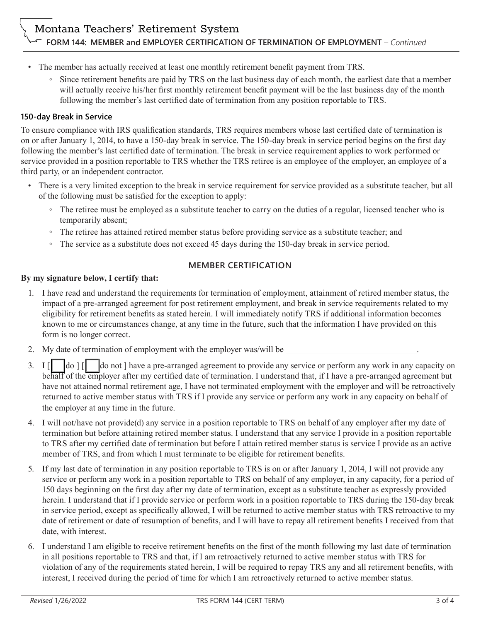- The member has actually received at least one monthly retirement benefit payment from TRS.
	- Since retirement benefits are paid by TRS on the last business day of each month, the earliest date that a member will actually receive his/her first monthly retirement benefit payment will be the last business day of the month following the member's last certified date of termination from any position reportable to TRS.

# **150-day Break in Service**

To ensure compliance with IRS qualification standards, TRS requires members whose last certified date of termination is on or after January 1, 2014, to have a 150-day break in service. The 150-day break in service period begins on the first day following the member's last certified date of termination. The break in service requirement applies to work performed or service provided in a position reportable to TRS whether the TRS retiree is an employee of the employer, an employee of a third party, or an independent contractor.

- There is a very limited exception to the break in service requirement for service provided as a substitute teacher, but all of the following must be satisfied for the exception to apply:
	- The retiree must be employed as a substitute teacher to carry on the duties of a regular, licensed teacher who is temporarily absent;
	- The retiree has attained retired member status before providing service as a substitute teacher; and
	- The service as a substitute does not exceed 45 days during the 150-day break in service period.

# **MEMBER CERTIFICATION**

#### **By my signature below, I certify that:**

- 1. I have read and understand the requirements for termination of employment, attainment of retired member status, the impact of a pre-arranged agreement for post retirement employment, and break in service requirements related to my eligibility for retirement benefits as stated herein. I will immediately notify TRS if additional information becomes known to me or circumstances change, at any time in the future, such that the information I have provided on this form is no longer correct.
- 2. My date of termination of employment with the employer was/will be \_\_\_\_\_\_\_\_\_\_\_
- 3. I  $\begin{bmatrix} \end{bmatrix}$   $\begin{bmatrix} d\text{o} \end{bmatrix}$   $\begin{bmatrix} \end{bmatrix}$  do not ] have a pre-arranged agreement to provide any service or perform any work in any capacity on behalf of the employer after my certified date of termination. I understand that, if I have a pre-arranged agreement but have not attained normal retirement age, I have not terminated employment with the employer and will be retroactively returned to active member status with TRS if I provide any service or perform any work in any capacity on behalf of the employer at any time in the future.
- 4. I will not/have not provide(d) any service in a position reportable to TRS on behalf of any employer after my date of termination but before attaining retired member status. I understand that any service I provide in a position reportable to TRS after my certified date of termination but before I attain retired member status is service I provide as an active member of TRS, and from which I must terminate to be eligible for retirement benefits.
- 5. If my last date of termination in any position reportable to TRS is on or after January 1, 2014, I will not provide any service or perform any work in a position reportable to TRS on behalf of any employer, in any capacity, for a period of 150 days beginning on the first day after my date of termination, except as a substitute teacher as expressly provided herein. I understand that if I provide service or perform work in a position reportable to TRS during the 150-day break in service period, except as specifically allowed, I will be returned to active member status with TRS retroactive to my date of retirement or date of resumption of benefits, and I will have to repay all retirement benefits I received from that date, with interest.
- 6. I understand I am eligible to receive retirement benefits on the first of the month following my last date of termination in all positions reportable to TRS and that, if I am retroactively returned to active member status with TRS for violation of any of the requirements stated herein, I will be required to repay TRS any and all retirement benefits, with interest, I received during the period of time for which I am retroactively returned to active member status.